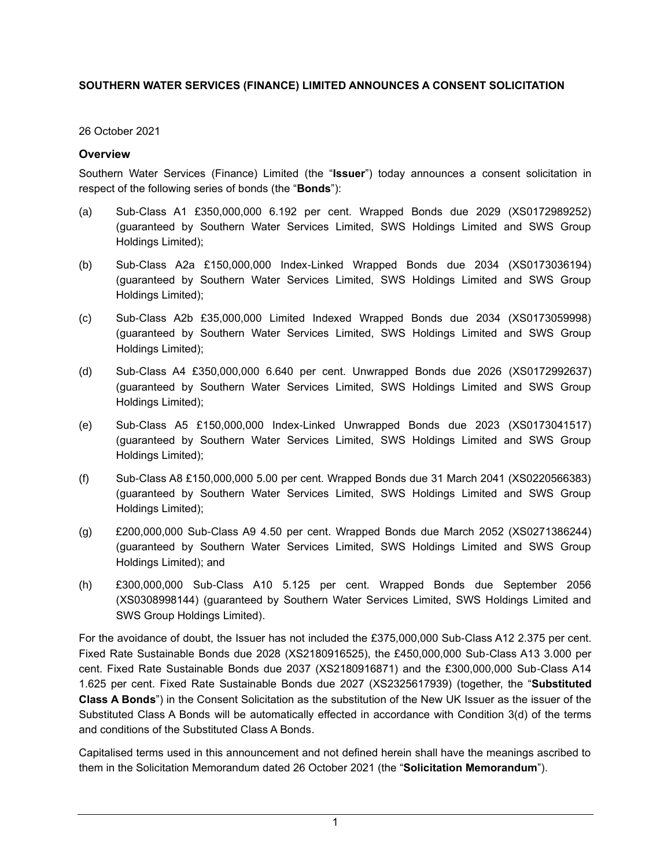# **SOUTHERN WATER SERVICES (FINANCE) LIMITED ANNOUNCES A CONSENT SOLICITATION**

### 26 October 2021

# **Overview**

Southern Water Services (Finance) Limited (the "**Issuer**") today announces a consent solicitation in respect of the following series of bonds (the "**Bonds**"):

- (a) Sub-Class A1 £350,000,000 6.192 per cent. Wrapped Bonds due 2029 (XS0172989252) (guaranteed by Southern Water Services Limited, SWS Holdings Limited and SWS Group Holdings Limited);
- (b) Sub-Class A2a £150,000,000 Index-Linked Wrapped Bonds due 2034 (XS0173036194) (guaranteed by Southern Water Services Limited, SWS Holdings Limited and SWS Group Holdings Limited);
- (c) Sub-Class A2b £35,000,000 Limited Indexed Wrapped Bonds due 2034 (XS0173059998) (guaranteed by Southern Water Services Limited, SWS Holdings Limited and SWS Group Holdings Limited);
- (d) Sub-Class A4 £350,000,000 6.640 per cent. Unwrapped Bonds due 2026 (XS0172992637) (guaranteed by Southern Water Services Limited, SWS Holdings Limited and SWS Group Holdings Limited);
- (e) Sub-Class A5 £150,000,000 Index-Linked Unwrapped Bonds due 2023 (XS0173041517) (guaranteed by Southern Water Services Limited, SWS Holdings Limited and SWS Group Holdings Limited);
- (f) Sub-Class A8 £150,000,000 5.00 per cent. Wrapped Bonds due 31 March 2041 (XS0220566383) (guaranteed by Southern Water Services Limited, SWS Holdings Limited and SWS Group Holdings Limited);
- (g) £200,000,000 Sub-Class A9 4.50 per cent. Wrapped Bonds due March 2052 (XS0271386244) (guaranteed by Southern Water Services Limited, SWS Holdings Limited and SWS Group Holdings Limited); and
- (h) £300,000,000 Sub-Class A10 5.125 per cent. Wrapped Bonds due September 2056 (XS0308998144) (guaranteed by Southern Water Services Limited, SWS Holdings Limited and SWS Group Holdings Limited).

For the avoidance of doubt, the Issuer has not included the £375,000,000 Sub-Class A12 2.375 per cent. Fixed Rate Sustainable Bonds due 2028 (XS2180916525), the £450,000,000 Sub-Class A13 3.000 per cent. Fixed Rate Sustainable Bonds due 2037 (XS2180916871) and the £300,000,000 Sub-Class A14 1.625 per cent. Fixed Rate Sustainable Bonds due 2027 (XS2325617939) (together, the "**Substituted Class A Bonds**") in the Consent Solicitation as the substitution of the New UK Issuer as the issuer of the Substituted Class A Bonds will be automatically effected in accordance with Condition 3(d) of the terms and conditions of the Substituted Class A Bonds.

Capitalised terms used in this announcement and not defined herein shall have the meanings ascribed to them in the Solicitation Memorandum dated 26 October 2021 (the "**Solicitation Memorandum**").

<sup>1</sup>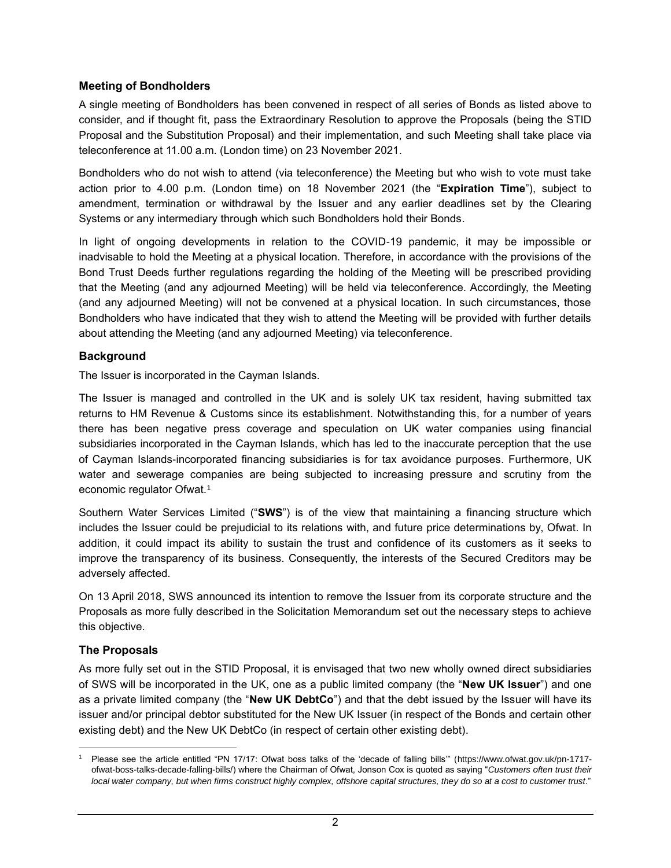# **Meeting of Bondholders**

A single meeting of Bondholders has been convened in respect of all series of Bonds as listed above to consider, and if thought fit, pass the Extraordinary Resolution to approve the Proposals (being the STID Proposal and the Substitution Proposal) and their implementation, and such Meeting shall take place via teleconference at 11.00 a.m. (London time) on 23 November 2021.

Bondholders who do not wish to attend (via teleconference) the Meeting but who wish to vote must take action prior to 4.00 p.m. (London time) on 18 November 2021 (the "**Expiration Time**"), subject to amendment, termination or withdrawal by the Issuer and any earlier deadlines set by the Clearing Systems or any intermediary through which such Bondholders hold their Bonds.

In light of ongoing developments in relation to the COVID-19 pandemic, it may be impossible or inadvisable to hold the Meeting at a physical location. Therefore, in accordance with the provisions of the Bond Trust Deeds further regulations regarding the holding of the Meeting will be prescribed providing that the Meeting (and any adjourned Meeting) will be held via teleconference. Accordingly, the Meeting (and any adjourned Meeting) will not be convened at a physical location. In such circumstances, those Bondholders who have indicated that they wish to attend the Meeting will be provided with further details about attending the Meeting (and any adjourned Meeting) via teleconference.

# **Background**

The Issuer is incorporated in the Cayman Islands.

The Issuer is managed and controlled in the UK and is solely UK tax resident, having submitted tax returns to HM Revenue & Customs since its establishment. Notwithstanding this, for a number of years there has been negative press coverage and speculation on UK water companies using financial subsidiaries incorporated in the Cayman Islands, which has led to the inaccurate perception that the use of Cayman Islands-incorporated financing subsidiaries is for tax avoidance purposes. Furthermore, UK water and sewerage companies are being subjected to increasing pressure and scrutiny from the economic regulator Ofwat.<sup>1</sup>

Southern Water Services Limited ("**SWS**") is of the view that maintaining a financing structure which includes the Issuer could be prejudicial to its relations with, and future price determinations by, Ofwat. In addition, it could impact its ability to sustain the trust and confidence of its customers as it seeks to improve the transparency of its business. Consequently, the interests of the Secured Creditors may be adversely affected.

On 13 April 2018, SWS announced its intention to remove the Issuer from its corporate structure and the Proposals as more fully described in the Solicitation Memorandum set out the necessary steps to achieve this objective.

# **The Proposals**

As more fully set out in the STID Proposal, it is envisaged that two new wholly owned direct subsidiaries of SWS will be incorporated in the UK, one as a public limited company (the "**New UK Issuer**") and one as a private limited company (the "**New UK DebtCo**") and that the debt issued by the Issuer will have its issuer and/or principal debtor substituted for the New UK Issuer (in respect of the Bonds and certain other existing debt) and the New UK DebtCo (in respect of certain other existing debt).

<sup>1</sup> Please see the article entitled "PN 17/17: Ofwat boss talks of the 'decade of falling bills'" (https://www.ofwat.gov.uk/pn-1717 ofwat-boss-talks-decade-falling-bills/) where the Chairman of Ofwat, Jonson Cox is quoted as saying "*Customers often trust their local water company, but when firms construct highly complex, offshore capital structures, they do so at a cost to customer trust.*"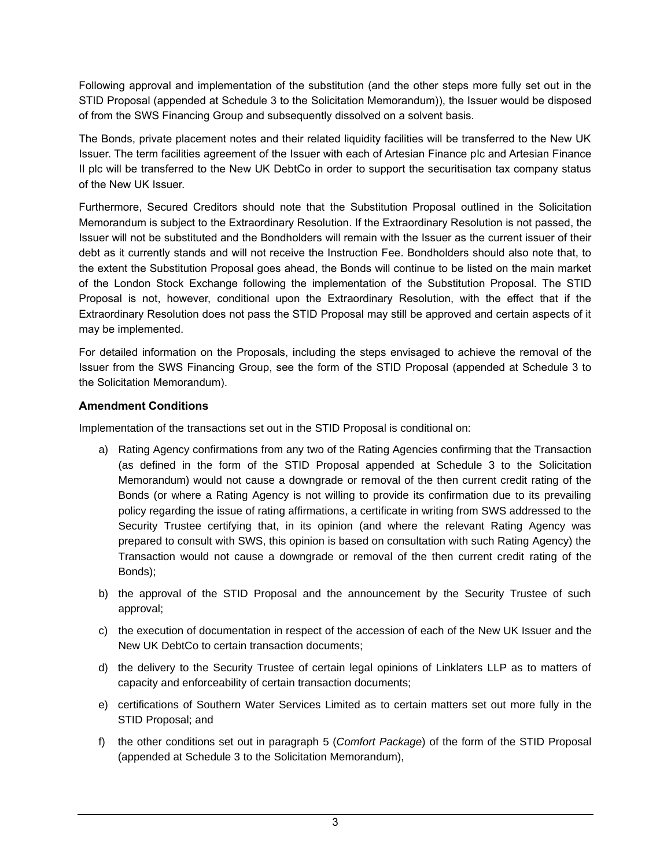Following approval and implementation of the substitution (and the other steps more fully set out in the STID Proposal (appended at Schedule 3 to the Solicitation Memorandum)), the Issuer would be disposed of from the SWS Financing Group and subsequently dissolved on a solvent basis.

The Bonds, private placement notes and their related liquidity facilities will be transferred to the New UK Issuer. The term facilities agreement of the Issuer with each of Artesian Finance plc and Artesian Finance II plc will be transferred to the New UK DebtCo in order to support the securitisation tax company status of the New UK Issuer.

Furthermore, Secured Creditors should note that the Substitution Proposal outlined in the Solicitation Memorandum is subject to the Extraordinary Resolution. If the Extraordinary Resolution is not passed, the Issuer will not be substituted and the Bondholders will remain with the Issuer as the current issuer of their debt as it currently stands and will not receive the Instruction Fee. Bondholders should also note that, to the extent the Substitution Proposal goes ahead, the Bonds will continue to be listed on the main market of the London Stock Exchange following the implementation of the Substitution Proposal. The STID Proposal is not, however, conditional upon the Extraordinary Resolution, with the effect that if the Extraordinary Resolution does not pass the STID Proposal may still be approved and certain aspects of it may be implemented.

For detailed information on the Proposals, including the steps envisaged to achieve the removal of the Issuer from the SWS Financing Group, see the form of the STID Proposal (appended at Schedule 3 to the Solicitation Memorandum).

# **Amendment Conditions**

Implementation of the transactions set out in the STID Proposal is conditional on:

- a) Rating Agency confirmations from any two of the Rating Agencies confirming that the Transaction (as defined in the form of the STID Proposal appended at Schedule 3 to the Solicitation Memorandum) would not cause a downgrade or removal of the then current credit rating of the Bonds (or where a Rating Agency is not willing to provide its confirmation due to its prevailing policy regarding the issue of rating affirmations, a certificate in writing from SWS addressed to the Security Trustee certifying that, in its opinion (and where the relevant Rating Agency was prepared to consult with SWS, this opinion is based on consultation with such Rating Agency) the Transaction would not cause a downgrade or removal of the then current credit rating of the Bonds);
- b) the approval of the STID Proposal and the announcement by the Security Trustee of such approval;
- c) the execution of documentation in respect of the accession of each of the New UK Issuer and the New UK DebtCo to certain transaction documents;
- d) the delivery to the Security Trustee of certain legal opinions of Linklaters LLP as to matters of capacity and enforceability of certain transaction documents;
- e) certifications of Southern Water Services Limited as to certain matters set out more fully in the STID Proposal; and
- f) the other conditions set out in paragraph 5 (*Comfort Package*) of the form of the STID Proposal (appended at Schedule 3 to the Solicitation Memorandum),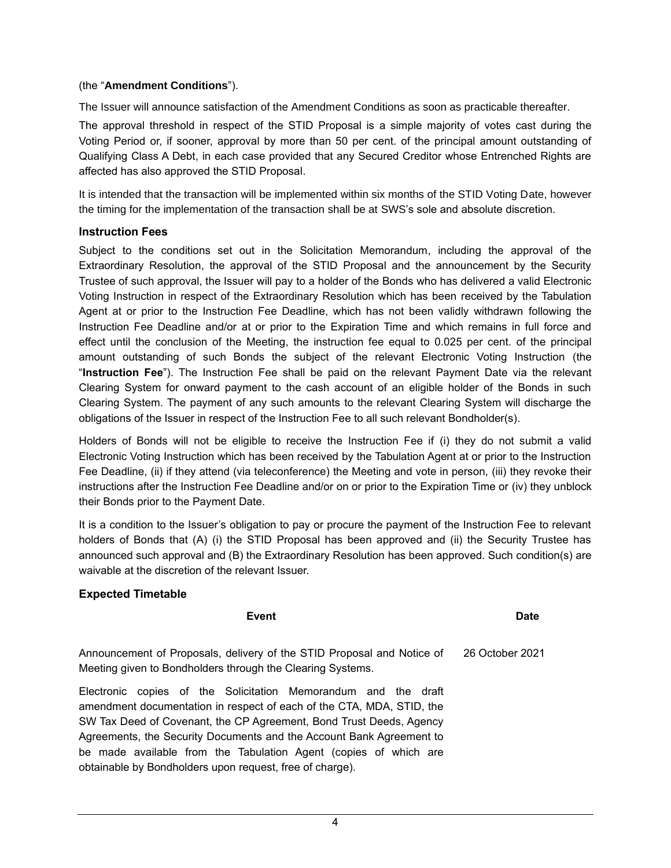#### (the "**Amendment Conditions**").

The Issuer will announce satisfaction of the Amendment Conditions as soon as practicable thereafter.

The approval threshold in respect of the STID Proposal is a simple majority of votes cast during the Voting Period or, if sooner, approval by more than 50 per cent. of the principal amount outstanding of Qualifying Class A Debt, in each case provided that any Secured Creditor whose Entrenched Rights are affected has also approved the STID Proposal.

It is intended that the transaction will be implemented within six months of the STID Voting Date, however the timing for the implementation of the transaction shall be at SWS's sole and absolute discretion.

#### **Instruction Fees**

Subject to the conditions set out in the Solicitation Memorandum, including the approval of the Extraordinary Resolution, the approval of the STID Proposal and the announcement by the Security Trustee of such approval, the Issuer will pay to a holder of the Bonds who has delivered a valid Electronic Voting Instruction in respect of the Extraordinary Resolution which has been received by the Tabulation Agent at or prior to the Instruction Fee Deadline, which has not been validly withdrawn following the Instruction Fee Deadline and/or at or prior to the Expiration Time and which remains in full force and effect until the conclusion of the Meeting, the instruction fee equal to 0.025 per cent. of the principal amount outstanding of such Bonds the subject of the relevant Electronic Voting Instruction (the "**Instruction Fee**"). The Instruction Fee shall be paid on the relevant Payment Date via the relevant Clearing System for onward payment to the cash account of an eligible holder of the Bonds in such Clearing System. The payment of any such amounts to the relevant Clearing System will discharge the obligations of the Issuer in respect of the Instruction Fee to all such relevant Bondholder(s).

Holders of Bonds will not be eligible to receive the Instruction Fee if (i) they do not submit a valid Electronic Voting Instruction which has been received by the Tabulation Agent at or prior to the Instruction Fee Deadline, (ii) if they attend (via teleconference) the Meeting and vote in person, (iii) they revoke their instructions after the Instruction Fee Deadline and/or on or prior to the Expiration Time or (iv) they unblock their Bonds prior to the Payment Date.

It is a condition to the Issuer's obligation to pay or procure the payment of the Instruction Fee to relevant holders of Bonds that (A) (i) the STID Proposal has been approved and (ii) the Security Trustee has announced such approval and (B) the Extraordinary Resolution has been approved. Such condition(s) are waivable at the discretion of the relevant Issuer.

#### **Expected Timetable**

**Event Date** 

Announcement of Proposals, delivery of the STID Proposal and Notice of Meeting given to Bondholders through the Clearing Systems. 26 October 2021

Electronic copies of the Solicitation Memorandum and the draft amendment documentation in respect of each of the CTA, MDA, STID, the SW Tax Deed of Covenant, the CP Agreement, Bond Trust Deeds, Agency Agreements, the Security Documents and the Account Bank Agreement to be made available from the Tabulation Agent (copies of which are obtainable by Bondholders upon request, free of charge).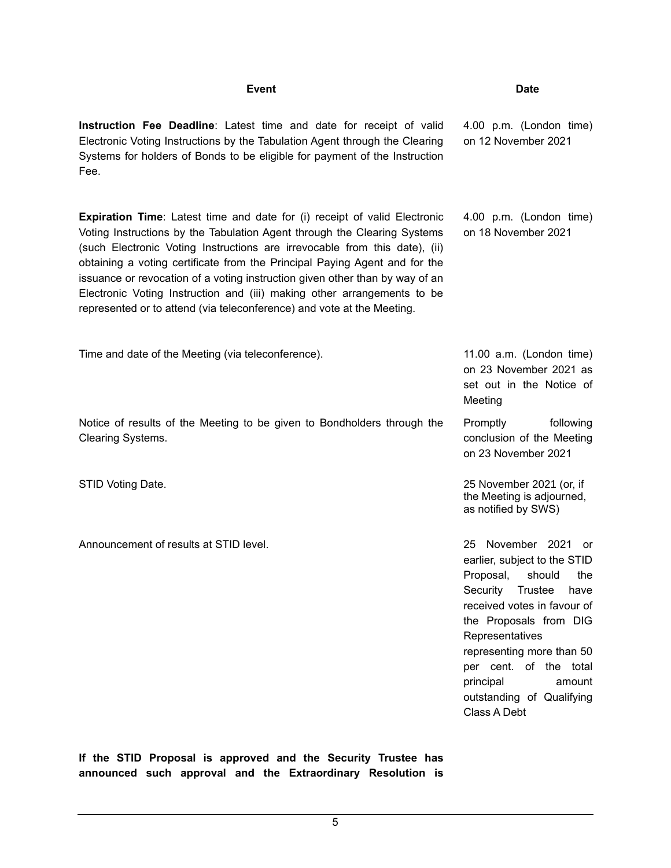| <b>Event</b>                                                                                                                                                                                                                                                                                                                                                                                                                                                                                                                                                  | <b>Date</b>                                                                                                                                                                                                                                                                                                            |
|---------------------------------------------------------------------------------------------------------------------------------------------------------------------------------------------------------------------------------------------------------------------------------------------------------------------------------------------------------------------------------------------------------------------------------------------------------------------------------------------------------------------------------------------------------------|------------------------------------------------------------------------------------------------------------------------------------------------------------------------------------------------------------------------------------------------------------------------------------------------------------------------|
| Instruction Fee Deadline: Latest time and date for receipt of valid<br>Electronic Voting Instructions by the Tabulation Agent through the Clearing<br>Systems for holders of Bonds to be eligible for payment of the Instruction<br>Fee.                                                                                                                                                                                                                                                                                                                      | 4.00 p.m. (London time)<br>on 12 November 2021                                                                                                                                                                                                                                                                         |
| <b>Expiration Time:</b> Latest time and date for (i) receipt of valid Electronic<br>Voting Instructions by the Tabulation Agent through the Clearing Systems<br>(such Electronic Voting Instructions are irrevocable from this date), (ii)<br>obtaining a voting certificate from the Principal Paying Agent and for the<br>issuance or revocation of a voting instruction given other than by way of an<br>Electronic Voting Instruction and (iii) making other arrangements to be<br>represented or to attend (via teleconference) and vote at the Meeting. | 4.00 p.m. (London time)<br>on 18 November 2021                                                                                                                                                                                                                                                                         |
| Time and date of the Meeting (via teleconference).                                                                                                                                                                                                                                                                                                                                                                                                                                                                                                            | 11.00 a.m. (London time)<br>on 23 November 2021 as<br>set out in the Notice of<br>Meeting                                                                                                                                                                                                                              |
| Notice of results of the Meeting to be given to Bondholders through the<br>Clearing Systems.                                                                                                                                                                                                                                                                                                                                                                                                                                                                  | Promptly<br>following<br>conclusion of the Meeting<br>on 23 November 2021                                                                                                                                                                                                                                              |
| STID Voting Date.                                                                                                                                                                                                                                                                                                                                                                                                                                                                                                                                             | 25 November 2021 (or, if<br>the Meeting is adjourned,<br>as notified by SWS)                                                                                                                                                                                                                                           |
| Announcement of results at STID level.                                                                                                                                                                                                                                                                                                                                                                                                                                                                                                                        | November 2021<br>25<br>- or<br>earlier, subject to the STID<br>Proposal, should the<br>Security Trustee<br>have<br>received votes in favour of<br>the Proposals from DIG<br>Representatives<br>representing more than 50<br>per cent. of the total<br>principal<br>amount<br>outstanding of Qualifying<br>Class A Debt |

**If the STID Proposal is approved and the Security Trustee has announced such approval and the Extraordinary Resolution is**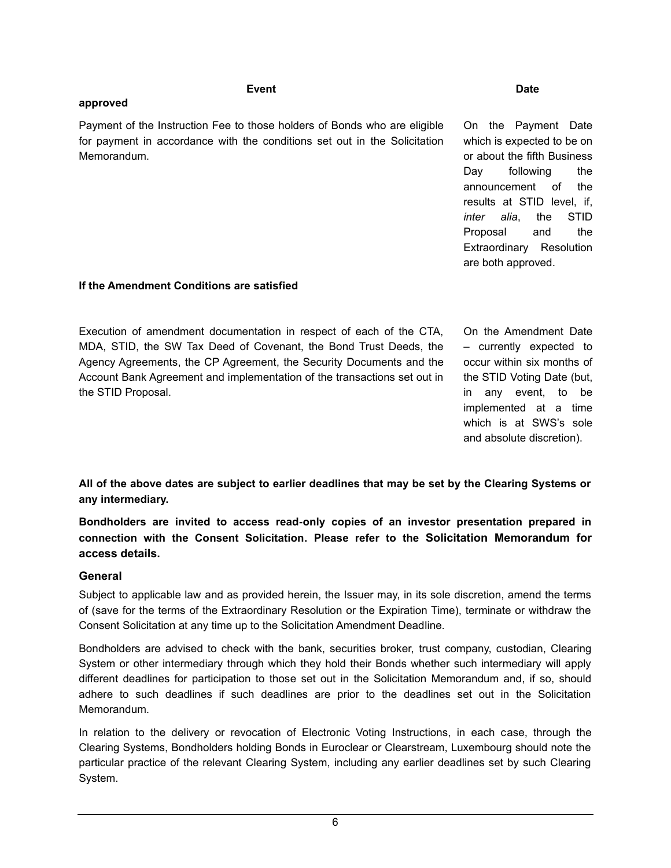### **Event Date**

#### **approved**

Payment of the Instruction Fee to those holders of Bonds who are eligible for payment in accordance with the conditions set out in the Solicitation Memorandum.

On the Payment Date which is expected to be on or about the fifth Business Day following the announcement of the results at STID level, if, *inter alia*, the STID Proposal and the Extraordinary Resolution are both approved.

# **If the Amendment Conditions are satisfied**

Execution of amendment documentation in respect of each of the CTA, MDA, STID, the SW Tax Deed of Covenant, the Bond Trust Deeds, the Agency Agreements, the CP Agreement, the Security Documents and the Account Bank Agreement and implementation of the transactions set out in the STID Proposal.

On the Amendment Date – currently expected to occur within six months of the STID Voting Date (but, in any event, to be implemented at a time which is at SWS's sole and absolute discretion).

**All of the above dates are subject to earlier deadlines that may be set by the Clearing Systems or any intermediary.**

**Bondholders are invited to access read-only copies of an investor presentation prepared in connection with the Consent Solicitation. Please refer to the Solicitation Memorandum for access details.** 

# **General**

Subject to applicable law and as provided herein, the Issuer may, in its sole discretion, amend the terms of (save for the terms of the Extraordinary Resolution or the Expiration Time), terminate or withdraw the Consent Solicitation at any time up to the Solicitation Amendment Deadline.

Bondholders are advised to check with the bank, securities broker, trust company, custodian, Clearing System or other intermediary through which they hold their Bonds whether such intermediary will apply different deadlines for participation to those set out in the Solicitation Memorandum and, if so, should adhere to such deadlines if such deadlines are prior to the deadlines set out in the Solicitation Memorandum.

In relation to the delivery or revocation of Electronic Voting Instructions, in each case, through the Clearing Systems, Bondholders holding Bonds in Euroclear or Clearstream, Luxembourg should note the particular practice of the relevant Clearing System, including any earlier deadlines set by such Clearing System.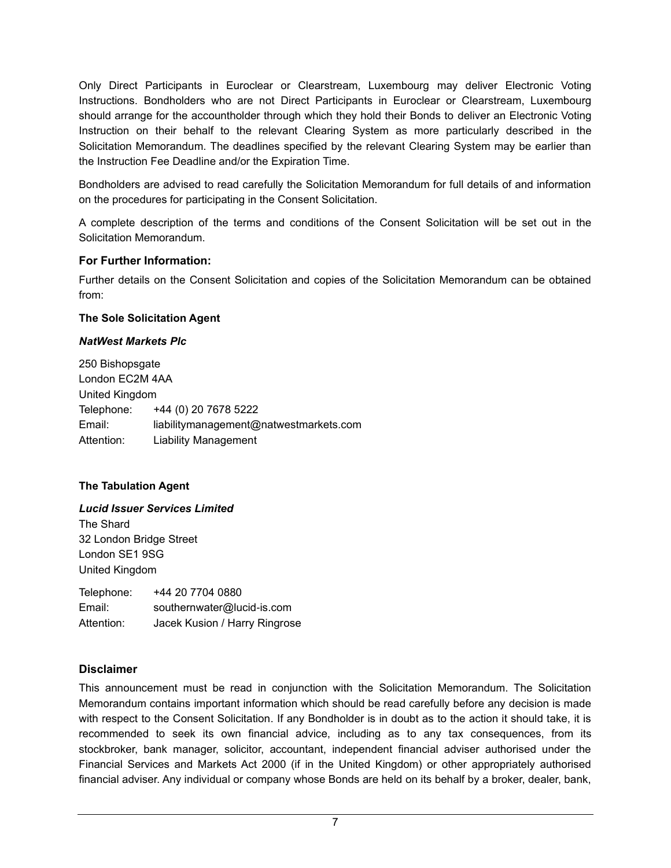Only Direct Participants in Euroclear or Clearstream, Luxembourg may deliver Electronic Voting Instructions. Bondholders who are not Direct Participants in Euroclear or Clearstream, Luxembourg should arrange for the accountholder through which they hold their Bonds to deliver an Electronic Voting Instruction on their behalf to the relevant Clearing System as more particularly described in the Solicitation Memorandum. The deadlines specified by the relevant Clearing System may be earlier than the Instruction Fee Deadline and/or the Expiration Time.

Bondholders are advised to read carefully the Solicitation Memorandum for full details of and information on the procedures for participating in the Consent Solicitation.

A complete description of the terms and conditions of the Consent Solicitation will be set out in the Solicitation Memorandum.

### **For Further Information:**

Further details on the Consent Solicitation and copies of the Solicitation Memorandum can be obtained from:

### **The Sole Solicitation Agent**

### *NatWest Markets Plc*

250 Bishopsgate London EC2M 4AA United Kingdom Telephone: +44 (0) 20 7678 5222 Email: liabilitymanagement@natwestmarkets.com Attention: Liability Management

# **The Tabulation Agent**

#### *Lucid Issuer Services Limited*

The Shard 32 London Bridge Street London SE1 9SG United Kingdom

Telephone: +44 20 7704 0880 Email: southernwater@lucid-is.com Attention: Jacek Kusion / Harry Ringrose

# **Disclaimer**

This announcement must be read in conjunction with the Solicitation Memorandum. The Solicitation Memorandum contains important information which should be read carefully before any decision is made with respect to the Consent Solicitation. If any Bondholder is in doubt as to the action it should take, it is recommended to seek its own financial advice, including as to any tax consequences, from its stockbroker, bank manager, solicitor, accountant, independent financial adviser authorised under the Financial Services and Markets Act 2000 (if in the United Kingdom) or other appropriately authorised financial adviser. Any individual or company whose Bonds are held on its behalf by a broker, dealer, bank,